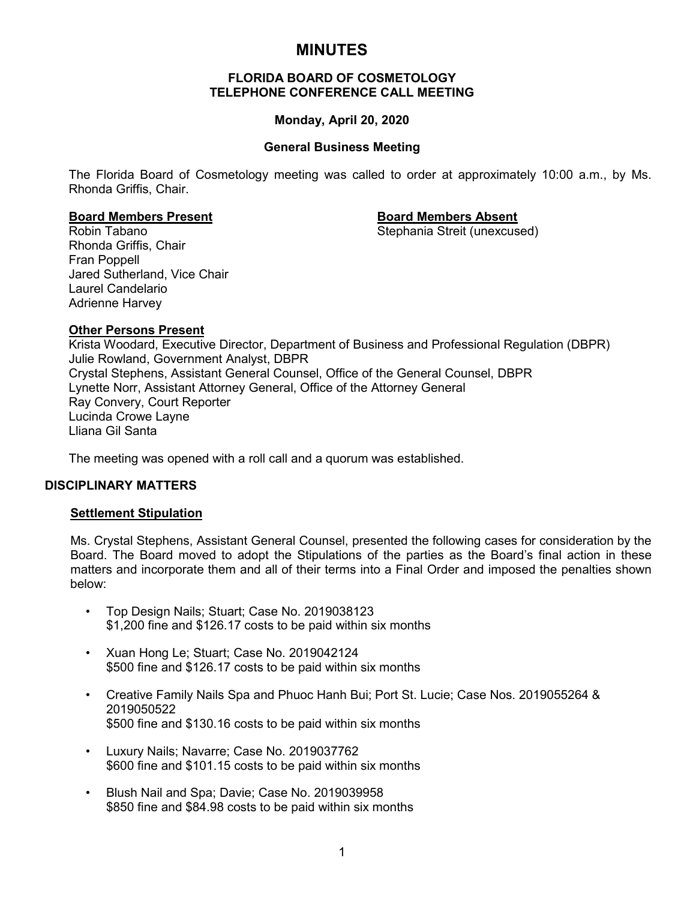# **MINUTES**

# **FLORIDA BOARD OF COSMETOLOGY TELEPHONE CONFERENCE CALL MEETING**

# **Monday, April 20, 2020**

# **General Business Meeting**

The Florida Board of Cosmetology meeting was called to order at approximately 10:00 a.m., by Ms. Rhonda Griffis, Chair.

Stephania Streit (unexcused)

**Board Members Present Board Members Absent** Rhonda Griffis, Chair Fran Poppell Jared Sutherland, Vice Chair Laurel Candelario Adrienne Harvey

# **Other Persons Present**

Krista Woodard, Executive Director, Department of Business and Professional Regulation (DBPR) Julie Rowland, Government Analyst, DBPR Crystal Stephens, Assistant General Counsel, Office of the General Counsel, DBPR Lynette Norr, Assistant Attorney General, Office of the Attorney General Ray Convery, Court Reporter Lucinda Crowe Layne Lliana Gil Santa

The meeting was opened with a roll call and a quorum was established.

### **DISCIPLINARY MATTERS**

### **Settlement Stipulation**

Ms. Crystal Stephens, Assistant General Counsel, presented the following cases for consideration by the Board. The Board moved to adopt the Stipulations of the parties as the Board's final action in these matters and incorporate them and all of their terms into a Final Order and imposed the penalties shown below:

- Top Design Nails; Stuart; Case No. 2019038123 \$1,200 fine and \$126.17 costs to be paid within six months
- Xuan Hong Le; Stuart; Case No. 2019042124 \$500 fine and \$126.17 costs to be paid within six months
- Creative Family Nails Spa and Phuoc Hanh Bui; Port St. Lucie; Case Nos. 2019055264 & 2019050522 \$500 fine and \$130.16 costs to be paid within six months
- Luxury Nails; Navarre; Case No. 2019037762 \$600 fine and \$101.15 costs to be paid within six months
- Blush Nail and Spa; Davie; Case No. 2019039958 \$850 fine and \$84.98 costs to be paid within six months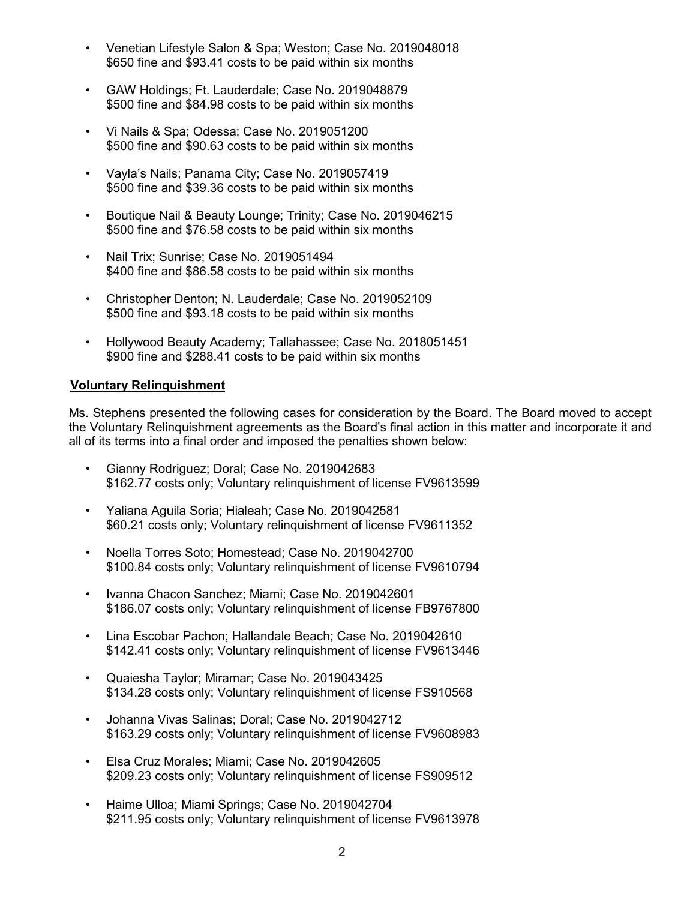- Venetian Lifestyle Salon & Spa; Weston; Case No. 2019048018 \$650 fine and \$93.41 costs to be paid within six months
- GAW Holdings; Ft. Lauderdale; Case No. 2019048879 \$500 fine and \$84.98 costs to be paid within six months
- Vi Nails & Spa; Odessa; Case No. 2019051200 \$500 fine and \$90.63 costs to be paid within six months
- Vayla's Nails; Panama City; Case No. 2019057419 \$500 fine and \$39.36 costs to be paid within six months
- Boutique Nail & Beauty Lounge; Trinity; Case No. 2019046215 \$500 fine and \$76.58 costs to be paid within six months
- Nail Trix; Sunrise; Case No. 2019051494 \$400 fine and \$86.58 costs to be paid within six months
- Christopher Denton; N. Lauderdale; Case No. 2019052109 \$500 fine and \$93.18 costs to be paid within six months
- Hollywood Beauty Academy; Tallahassee; Case No. 2018051451 \$900 fine and \$288.41 costs to be paid within six months

# **Voluntary Relinquishment**

Ms. Stephens presented the following cases for consideration by the Board. The Board moved to accept the Voluntary Relinquishment agreements as the Board's final action in this matter and incorporate it and all of its terms into a final order and imposed the penalties shown below:

- Gianny Rodriguez; Doral; Case No. 2019042683 \$162.77 costs only; Voluntary relinquishment of license FV9613599
- Yaliana Aguila Soria; Hialeah; Case No. 2019042581 \$60.21 costs only; Voluntary relinquishment of license FV9611352
- Noella Torres Soto; Homestead; Case No. 2019042700 \$100.84 costs only; Voluntary relinquishment of license FV9610794
- Ivanna Chacon Sanchez; Miami; Case No. 2019042601 \$186.07 costs only: Voluntary relinquishment of license FB9767800
- Lina Escobar Pachon; Hallandale Beach; Case No. 2019042610 \$142.41 costs only; Voluntary relinquishment of license FV9613446
- Quaiesha Taylor; Miramar; Case No. 2019043425 \$134.28 costs only; Voluntary relinquishment of license FS910568
- Johanna Vivas Salinas; Doral; Case No. 2019042712 \$163.29 costs only; Voluntary relinquishment of license FV9608983
- Elsa Cruz Morales; Miami; Case No. 2019042605 \$209.23 costs only; Voluntary relinquishment of license FS909512
- Haime Ulloa; Miami Springs; Case No. 2019042704 \$211.95 costs only; Voluntary relinquishment of license FV9613978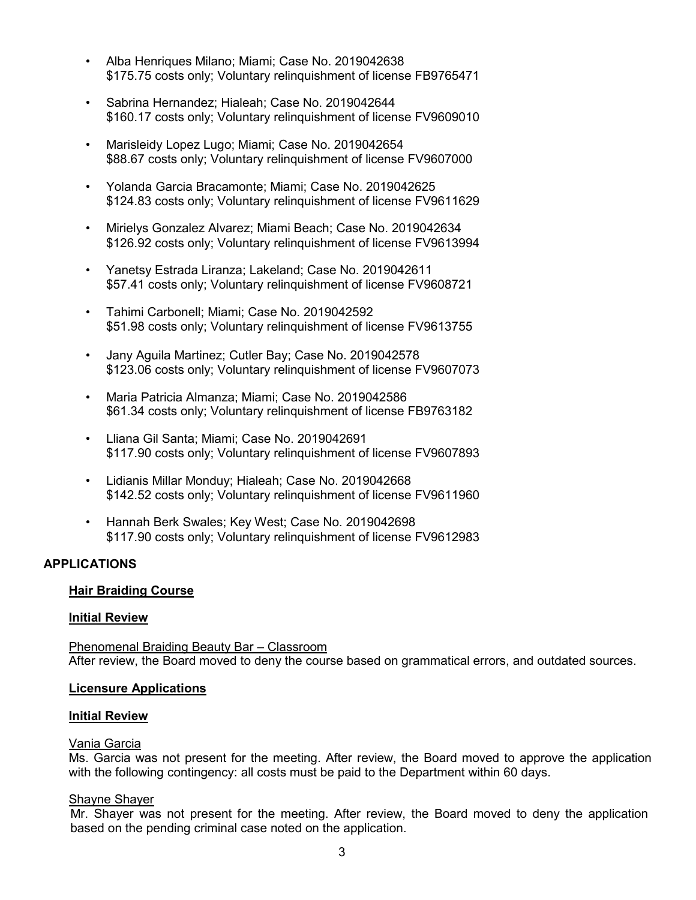- Alba Henriques Milano; Miami; Case No. 2019042638 \$175.75 costs only; Voluntary relinquishment of license FB9765471
- Sabrina Hernandez; Hialeah; Case No. 2019042644 \$160.17 costs only; Voluntary relinquishment of license FV9609010
- Marisleidy Lopez Lugo; Miami; Case No. 2019042654 \$88.67 costs only; Voluntary relinquishment of license FV9607000
- Yolanda Garcia Bracamonte; Miami; Case No. 2019042625 \$124.83 costs only; Voluntary relinquishment of license FV9611629
- Mirielys Gonzalez Alvarez; Miami Beach; Case No. 2019042634 \$126.92 costs only; Voluntary relinquishment of license FV9613994
- Yanetsy Estrada Liranza; Lakeland; Case No. 2019042611 \$57.41 costs only; Voluntary relinquishment of license FV9608721
- Tahimi Carbonell; Miami; Case No. 2019042592 \$51.98 costs only; Voluntary relinquishment of license FV9613755
- Jany Aguila Martinez; Cutler Bay; Case No. 2019042578 \$123.06 costs only; Voluntary relinquishment of license FV9607073
- Maria Patricia Almanza; Miami; Case No. 2019042586 \$61.34 costs only; Voluntary relinquishment of license FB9763182
- Lliana Gil Santa; Miami; Case No. 2019042691 \$117.90 costs only; Voluntary relinquishment of license FV9607893
- Lidianis Millar Monduy; Hialeah; Case No. 2019042668 \$142.52 costs only; Voluntary relinquishment of license FV9611960
- Hannah Berk Swales; Key West; Case No. 2019042698 \$117.90 costs only; Voluntary relinquishment of license FV9612983

# **APPLICATIONS**

# **Hair Braiding Course**

# **Initial Review**

Phenomenal Braiding Beauty Bar – Classroom After review, the Board moved to deny the course based on grammatical errors, and outdated sources.

### **Licensure Applications**

### **Initial Review**

# Vania Garcia

Ms. Garcia was not present for the meeting. After review, the Board moved to approve the application with the following contingency: all costs must be paid to the Department within 60 days.

# Shayne Shayer

Mr. Shayer was not present for the meeting. After review, the Board moved to deny the application based on the pending criminal case noted on the application.